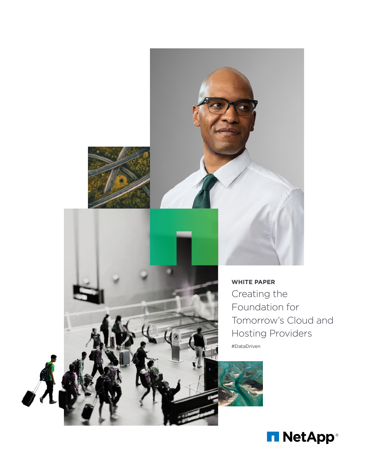



**WHITE PAPER** Creating the Foundation for Tomorrow's Cloud and Hosting Providers #DataDriven

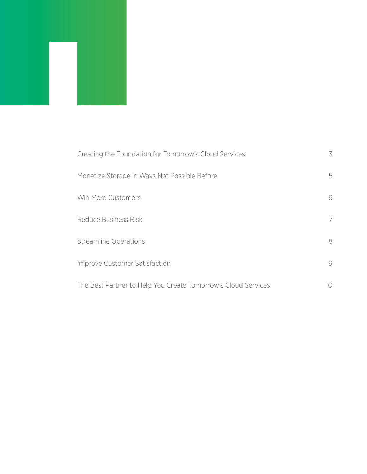| Creating the Foundation for Tomorrow's Cloud Services         | 3  |
|---------------------------------------------------------------|----|
| Monetize Storage in Ways Not Possible Before                  | 5  |
| Win More Customers                                            | 6  |
| Reduce Business Risk                                          | 7  |
| <b>Streamline Operations</b>                                  | 8  |
| Improve Customer Satisfaction                                 | 9  |
| The Best Partner to Help You Create Tomorrow's Cloud Services | 10 |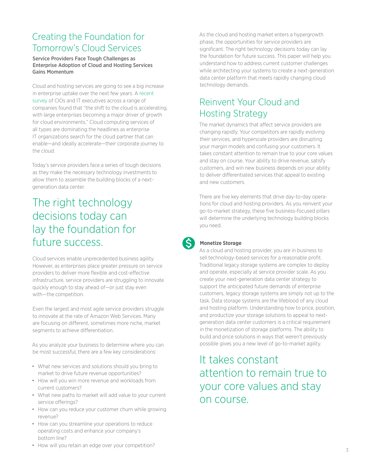# <span id="page-2-0"></span>Creating the Foundation for Tomorrow's Cloud Services

Service Providers Face Tough Challenges as Enterprise Adoption of Cloud and Hosting Services Gains Momentum

Cloud and hosting services are going to see a big increase in enterprise uptake over the next few years. A [recent](http://www.mckinsey.com/industries/high-tech/our-insights/it-as-a-service-from-build-to-consume)  [survey](http://www.mckinsey.com/industries/high-tech/our-insights/it-as-a-service-from-build-to-consume) of CIOs and IT executives across a range of companies found that "the shift to the cloud is accelerating, with large enterprises becoming a major driver of growth for cloud environments." Cloud computing services of all types are dominating the headlines as enterprise IT organizations search for the cloud partner that can enable—and ideally accelerate—their corporate journey to the cloud.

Today's service providers face a series of tough decisions as they make the necessary technology investments to allow them to assemble the building blocks of a nextgeneration data center.

# The right technology decisions today can lay the foundation for future success.

Cloud services enable unprecedented business agility. However, as enterprises place greater pressure on service providers to deliver more flexible and cost-effective infrastructure, service providers are struggling to innovate quickly enough to stay ahead of—or just stay even with—the competition.

Even the largest and most agile service providers struggle to innovate at the rate of Amazon Web Services. Many are focusing on different, sometimes more niche, market segments to achieve differentiation.

As you analyze your business to determine where you can be most successful, there are a few key considerations:

- What new services and solutions should you bring to market to drive future revenue opportunities?
- How will you win more revenue and workloads from current customers?
- What new paths to market will add value to your current service offerings?
- How can you reduce your customer churn while growing revenue?
- How can you streamline your operations to reduce operating costs and enhance your company's bottom line?
- How will you retain an edge over your competition?

As the cloud and hosting market enters a hypergrowth phase, the opportunities for service providers are significant. The right technology decisions today can lay the foundation for future success. This paper will help you understand how to address current customer challenges while architecting your systems to create a next-generation data center platform that meets rapidly changing cloud technology demands.

# Reinvent Your Cloud and Hosting Strategy

The market dynamics that affect service providers are changing rapidly. Your competitors are rapidly evolving their services, and hyperscale providers are disrupting your margin models and confusing your customers. It takes constant attention to remain true to your core values and stay on course. Your ability to drive revenue, satisfy customers, and win new business depends on your ability to deliver differentiated services that appeal to existing and new customers.

There are five key elements that drive day-to-day operations for cloud and hosting providers. As you reinvent your go-to-market strategy, these five business-focused pillars will determine the underlying technology building blocks you need.



# **Monetize Storage**

As a cloud and hosting provider, you are in business to sell technology-based services for a reasonable profit. Traditional legacy storage systems are complex to deploy and operate, especially at service provider scale. As you create your next-generation data center strategy to support the anticipated future demands of enterprise customers, legacy storage systems are simply not up to the task. Data storage systems are the lifeblood of any cloud and hosting platform. Understanding how to price, position, and productize your storage solutions to appeal to nextgeneration data center customers is a critical requirement in the monetization of storage platforms. The ability to build and price solutions in ways that weren't previously possible gives you a new level of go-to-market agility.

# It takes constant attention to remain true to your core values and stay on course.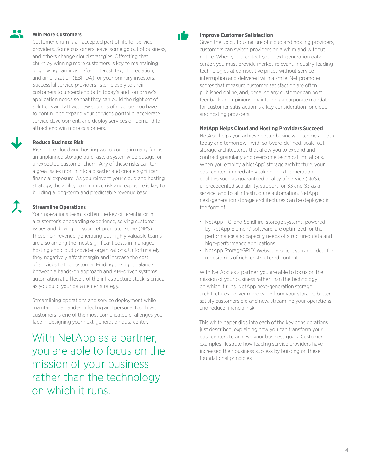# **Win More Customers**

Customer churn is an accepted part of life for service providers. Some customers leave, some go out of business, and others change cloud strategies. Offsetting that churn by winning more customers is key to maintaining or growing earnings before interest, tax, depreciation, and amortization (EBITDA) for your primary investors. Successful service providers listen closely to their customers to understand both today's and tomorrow's application needs so that they can build the right set of solutions and attract new sources of revenue. You have to continue to expand your services portfolio, accelerate service development, and deploy services on demand to attract and win more customers.

# **Reduce Business Risk**

Risk in the cloud and hosting world comes in many forms: an unplanned storage purchase, a systemwide outage, or unexpected customer churn. Any of these risks can turn a great sales month into a disaster and create significant financial exposure. As you reinvent your cloud and hosting strategy, the ability to minimize risk and exposure is key to building a long-term and predictable revenue base.

# **Streamline Operations**

Your operations team is often the key differentiator in a customer's onboarding experience, solving customer issues and driving up your net promoter score (NPS). These non-revenue-generating but highly valuable teams are also among the most significant costs in managed hosting and cloud provider organizations. Unfortunately, they negatively affect margin and increase the cost of services to the customer. Finding the right balance between a hands-on approach and API-driven systems automation at all levels of the infrastructure stack is critical as you build your data center strategy.

Streamlining operations and service deployment while maintaining a hands-on feeling and personal touch with customers is one of the most complicated challenges you face in designing your next-generation data center.

With NetApp as a partner, you are able to focus on the mission of your business rather than the technology on which it runs.



#### **Improve Customer Satisfaction**

Given the ubiquitous nature of cloud and hosting providers, customers can switch providers on a whim and without notice. When you architect your next-generation data center, you must provide market-relevant, industry-leading technologies at competitive prices without service interruption and delivered with a smile. Net promoter scores that measure customer satisfaction are often published online, and, because any customer can post feedback and opinions, maintaining a corporate mandate for customer satisfaction is a key consideration for cloud and hosting providers.

# **NetApp Helps Cloud and Hosting Providers Succeed**

NetApp helps you achieve better business outcomes—both today and tomorrow—with software-defined, scale-out storage architectures that allow you to expand and contract granularly and overcome technical limitations. When you employ a NetApp® storage architecture, your data centers immediately take on next-generation qualities such as guaranteed quality of service (QoS), unprecedented scalability, support for S3 and S3 as a service, and total infrastructure automation. NetApp next-generation storage architectures can be deployed in the form of:

- NetApp HCI and SolidFire® storage systems, powered by NetApp Element<sup>®</sup> software, are optimized for the performance and capacity needs of structured data and high-performance applications
- NetApp StorageGRID® Webscale object storage, ideal for repositories of rich, unstructured content

With NetApp as a partner, you are able to focus on the mission of your business rather than the technology on which it runs. NetApp next-generation storage architectures deliver more value from your storage, better satisfy customers old and new, streamline your operations, and reduce financial risk.

This white paper digs into each of the key considerations just described, explaining how you can transform your data centers to achieve your business goals. Customer examples illustrate how leading service providers have increased their business success by building on these foundational principles.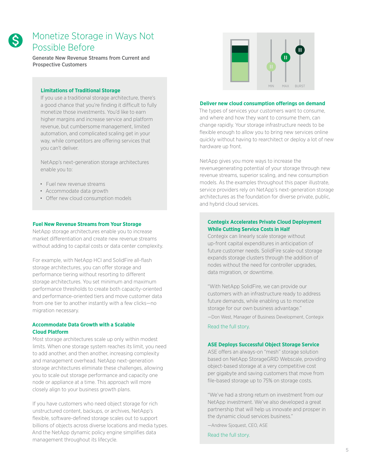<span id="page-4-0"></span>

# Monetize Storage in Ways Not Possible Before

Generate New Revenue Streams from Current and Prospective Customers

#### **Limitations of Traditional Storage**

If you use a traditional storage architecture, there's a good chance that you're finding it difficult to fully monetize those investments. You'd like to earn higher margins and increase service and platform revenue, but cumbersome management, limited automation, and complicated scaling get in your way, while competitors are offering services that you can't deliver.

NetApp's next-generation storage architectures enable you to:

- Fuel new revenue streams
- Accommodate data growth
- Offer new cloud consumption models

#### **Fuel New Revenue Streams from Your Storage**

NetApp storage architectures enable you to increase market differentiation and create new revenue streams without adding to capital costs or data center complexity.

For example, with NetApp HCI and SolidFire all-flash storage architectures, you can offer storage and performance tiering without resorting to different storage architectures. You set minimum and maximum performance thresholds to create both capacity-oriented and performance-oriented tiers and move customer data from one tier to another instantly with a few clicks—no migration necessary.

# **Accommodate Data Growth with a Scalable Cloud Platform**

Most storage architectures scale up only within modest limits. When one storage system reaches its limit, you need to add another, and then another, increasing complexity and management overhead. NetApp next-generation storage architectures eliminate these challenges, allowing you to scale out storage performance and capacity one node or appliance at a time. This approach will more closely align to your business growth plans.

If you have customers who need object storage for rich unstructured content, backups, or archives, NetApp's flexible, software-defined storage scales out to support billions of objects across diverse locations and media types. And the NetApp dynamic policy engine simplifies data management throughout its lifecycle.



#### **Deliver new cloud consumption offerings on demand**

The types of services your customers want to consume, and where and how they want to consume them, can change rapidly. Your storage infrastructure needs to be flexible enough to allow you to bring new services online quickly without having to rearchitect or deploy a lot of new hardware up front.

NetApp gives you more ways to increase the revenuegenerating potential of your storage through new revenue streams, superior scaling, and new consumption models. As the examples throughout this paper illustrate, service providers rely on NetApp's next-generation storage architectures as the foundation for diverse private, public, and hybrid cloud services.

# **Contegix Accelerates Private Cloud Deployment While Cutting Service Costs in Half**

Contegix can linearly scale storage without up-front capital expenditures in anticipation of future customer needs. SolidFire scale-out storage expands storage clusters through the addition of nodes without the need for controller upgrades, data migration, or downtime.

"With NetApp SolidFire, we can provide our customers with an infrastructure ready to address future demands, while enabling us to monetize storage for our own business advantage." —Don West, Manager of Business Development, Contegix

[Read the full story.](http://www.netapp.com/us/company/customer-stories/contegix.aspx)

### **ASE Deploys Successful Object Storage Service**

ASE offers an always-on "mesh" storage solution based on NetApp StorageGRID Webscale, providing object-based storage at a very competitive cost per gigabyte and saving customers that move from file-based storage up to 75% on storage costs.

"We've had a strong return on investment from our NetApp investment. We've also developed a great partnership that will help us innovate and prosper in the dynamic cloud services business."

—Andrew Sjoquest, CEO, ASE

[Read the full story.](http://www.netapp.com/us/company/customer-stories/ase.aspx)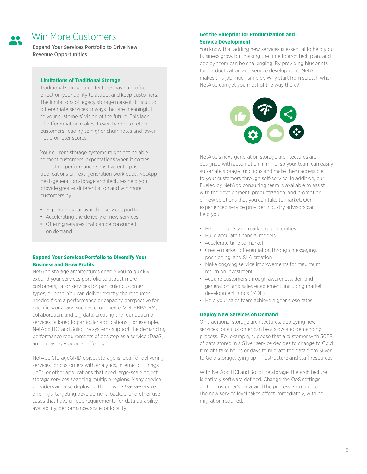<span id="page-5-0"></span>

# Win More Customers

Expand Your Services Portfolio to Drive New Revenue Opportunities

## **Limitations of Traditional Storage**

Traditional storage architectures have a profound effect on your ability to attract and keep customers. The limitations of legacy storage make it difficult to differentiate services in ways that are meaningful to your customers' vision of the future. This lack of differentiation makes it even harder to retain customers, leading to higher churn rates and lower net promoter scores.

Your current storage systems might not be able to meet customers' expectations when it comes to hosting performance-sensitive enterprise applications or next-generation workloads. NetApp next-generation storage architectures help you provide greater differentiation and win more customers by:

- Expanding your available services portfolio
- Accelerating the delivery of new services
- Offering services that can be consumed on demand

# **Expand Your Services Portfolio to Diversify Your Business and Grow Profits**

NetApp storage architectures enable you to quickly expand your services portfolio to attract more customers, tailor services for particular customer types, or both. You can deliver exactly the resources needed from a performance or capacity perspective for specific workloads such as ecommerce, VDI, ERP/CRM, collaboration, and big data, creating the foundation of services tailored to particular applications. For example, NetApp HCI and SolidFire systems support the demanding performance requirements of desktop as a service (DaaS), an increasingly popular offering.

NetApp StorageGRID object storage is ideal for delivering services for customers with analytics, Internet of Things (IoT), or other applications that need large-scale object storage services spanning multiple regions. Many service providers are also deploying their own S3-as-a-service offerings, targeting development, backup, and other use cases that have unique requirements for data durability, availability, performance, scale, or locality

# **Get the Blueprint for Productization and Service Development**

You know that adding new services is essential to help your business grow, but making the time to architect, plan, and deploy them can be challenging. By providing blueprints for productization and service development, NetApp makes this job much simpler. Why start from scratch when NetApp can get you most of the way there?



NetApp's next-generation storage architectures are designed with automation in mind, so your team can easily automate storage functions and make them accessible to your customers through self-service. In addition, our Fueled by NetApp consulting team is available to assist with the development, productization, and promotion of new solutions that you can take to market. Our experienced service provider industry advisors can help you:

- Better understand market opportunities
- Build accurate financial models
- Accelerate time to market
- Create market differentiation through messaging, positioning, and SLA creation
- Make ongoing service improvements for maximum return on investment
- Acquire customers through awareness, demand generation, and sales enablement, including market development funds (MDF)
- Help your sales team achieve higher close rates

### **Deploy New Services on Demand**

On traditional storage architectures, deploying new services for a customer can be a slow and demanding process. For example, suppose that a customer with 50TB of data stored in a Silver service decides to change to Gold. It might take hours or days to migrate the data from Silver to Gold storage, tying up infrastructure and staff resources.

With NetApp HCI and SolidFire storage, the architecture is entirely software defined. Change the QoS settings on the customer's data, and the process is complete. The new service level takes effect immediately, with no migration required.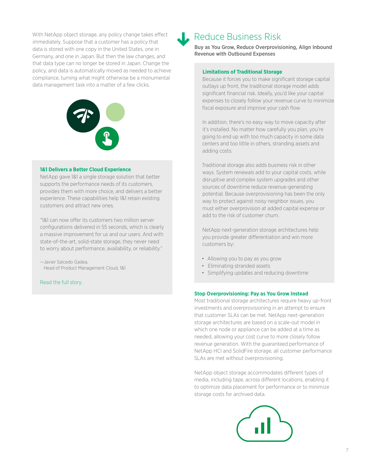<span id="page-6-0"></span>With NetApp object storage, any policy change takes effect immediately. Suppose that a customer has a policy that data is stored with one copy in the United States, one in Germany, and one in Japan. But then the law changes, and that data type can no longer be stored in Japan. Change the policy, and data is automatically moved as needed to achieve compliance, turning what might otherwise be a monumental data management task into a matter of a few clicks.



#### **1&1 Delivers a Better Cloud Experience**

NetApp gave 1&1 a single storage solution that better supports the performance needs of its customers, provides them with more choice, and delivers a better experience. These capabilities help 1&1 retain existing customers and attract new ones.

"1&1 can now offer its customers two million server configurations delivered in 55 seconds, which is clearly a massive improvement for us and our users. And with state-of-the-art, solid-state storage, they never need to worry about performance, availability, or reliability."

—Javier Salcedo Gadea, Head of Product Management Cloud, 1&1

[Read the full story.](http://www.netapp.com/us/company/customer-stories/cs-1and1.aspx)

# Reduce Business Risk

Buy as You Grow, Reduce Overprovisioning, Align Inbound Revenue with Outbound Expenses

## **Limitations of Traditional Storage**

Because it forces you to make significant storage capital outlays up front, the traditional storage model adds significant financial risk. Ideally, you'd like your capital expenses to closely follow your revenue curve to minimize fiscal exposure and improve your cash flow.

In addition, there's no easy way to move capacity after it's installed. No matter how carefully you plan, you're going to end up with too much capacity in some data centers and too little in others, stranding assets and adding costs.

Traditional storage also adds business risk in other ways. System renewals add to your capital costs, while disruptive and complex system upgrades and other sources of downtime reduce revenue-generating potential. Because overprovisioning has been the only way to protect against noisy neighbor issues, you must either overprovision at added capital expense or add to the risk of customer churn.

NetApp next-generation storage architectures help you provide greater differentiation and win more customers by:

- Allowing you to pay as you grow
- Eliminating stranded assets
- Simplifying updates and reducing downtime

#### **Stop Overprovisioning: Pay as You Grow Instead**

Most traditional storage architectures require heavy up-front investments and overprovisioning in an attempt to ensure that customer SLAs can be met. NetApp next-generation storage architectures are based on a scale-out model in which one node or appliance can be added at a time as needed, allowing your cost curve to more closely follow revenue generation. With the guaranteed performance of NetApp HCI and SolidFire storage, all customer performance SLAs are met without overprovisioning.

NetApp object storage accommodates different types of media, including tape, across different locations, enabling it to optimize data placement for performance or to minimize storage costs for archived data.

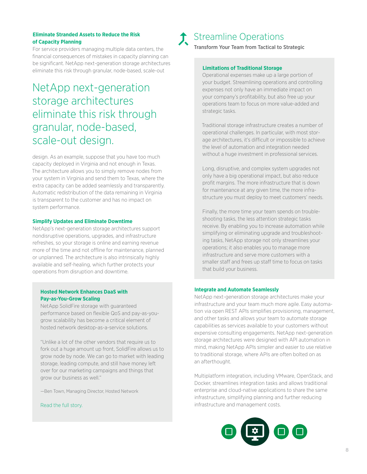## <span id="page-7-0"></span>**Eliminate Stranded Assets to Reduce the Risk of Capacity Planning**

For service providers managing multiple data centers, the financial consequences of mistakes in capacity planning can be significant. NetApp next-generation storage architectures eliminate this risk through granular, node-based, scale-out

# NetApp next-generation storage architectures eliminate this risk through granular, node-based, scale-out design.

design. As an example, suppose that you have too much capacity deployed in Virginia and not enough in Texas. The architecture allows you to simply remove nodes from your system in Virginia and send them to Texas, where the extra capacity can be added seamlessly and transparently. Automatic redistribution of the data remaining in Virginia is transparent to the customer and has no impact on system performance.

#### **Simplify Updates and Eliminate Downtime**

NetApp's next-generation storage architectures support nondisruptive operations, upgrades, and infrastructure refreshes, so your storage is online and earning revenue more of the time and not offline for maintenance, planned or unplanned. The architecture is also intrinsically highly available and self-healing, which further protects your operations from disruption and downtime.

# **Hosted Network Enhances DaaS with Pay-as-You-Grow Scaling**

NetApp SolidFire storage with guaranteed performance based on flexible QoS and pay-as-yougrow scalability has become a critical element of hosted network desktop-as-a-service solutions.

"Unlike a lot of the other vendors that require us to fork out a huge amount up front, SolidFire allows us to grow node by node. We can go to market with leading storage, leading compute, and still have money left over for our marketing campaigns and things that grow our business as well."

—Ben Town, Managing Director, Hosted Network

#### [Read the full story.](http://www.netapp.com/us/media/cs-solid-fire-hosted-network.pdf)



# Streamline Operations

Transform Your Team from Tactical to Strategic

#### **Limitations of Traditional Storage**

Operational expenses make up a large portion of your budget. Streamlining operations and controlling expenses not only have an immediate impact on your company's profitability, but also free up your operations team to focus on more value-added and strategic tasks.

Traditional storage infrastructure creates a number of operational challenges. In particular, with most storage architectures, it's difficult or impossible to achieve the level of automation and integration needed without a huge investment in professional services.

Long, disruptive, and complex system upgrades not only have a big operational impact, but also reduce profit margins. The more infrastructure that is down for maintenance at any given time, the more infrastructure you must deploy to meet customers' needs.

Finally, the more time your team spends on troubleshooting tasks, the less attention strategic tasks receive. By enabling you to increase automation while simplifying or eliminating upgrade and troubleshooting tasks, NetApp storage not only streamlines your operations; it also enables you to manage more infrastructure and serve more customers with a smaller staff and frees up staff time to focus on tasks that build your business.

#### **Integrate and Automate Seamlessly**

NetApp next-generation storage architectures make your infrastructure and your team much more agile. Easy automation via open REST APIs simplifies provisioning, management, and other tasks and allows your team to automate storage capabilities as services available to your customers without expensive consulting engagements. NetApp next-generation storage architectures were designed with API automation in mind, making NetApp APIs simpler and easier to use relative to traditional storage, where APIs are often bolted on as an afterthought.

Multiplatform integration, including VMware, OpenStack, and Docker, streamlines integration tasks and allows traditional enterprise and cloud-native applications to share the same infrastructure, simplifying planning and further reducing infrastructure and management costs.

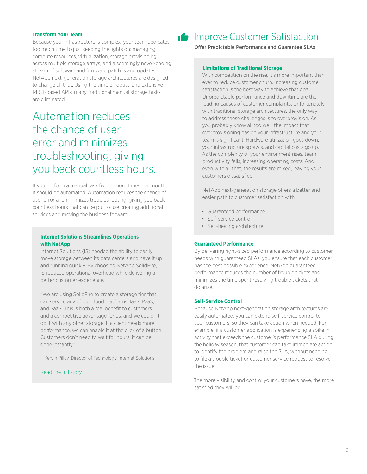### <span id="page-8-0"></span>**Transform Your Team**

Because your infrastructure is complex, your team dedicates too much time to just keeping the lights on: managing compute resources, virtualization, storage provisioning across multiple storage arrays, and a seemingly never-ending stream of software and firmware patches and updates. NetApp next-generation storage architectures are designed to change all that. Using the simple, robust, and extensive REST-based APIs, many traditional manual storage tasks are eliminated.

# Automation reduces the chance of user error and minimizes troubleshooting, giving you back countless hours.

If you perform a manual task five or more times per month, it should be automated. Automation reduces the chance of user error and minimizes troubleshooting, giving you back countless hours that can be put to use creating additional services and moving the business forward.

# **Internet Solutions Streamlines Operations with NetApp**

Internet Solutions (IS) needed the ability to easily move storage between its data centers and have it up and running quickly. By choosing NetApp SolidFire, IS reduced operational overhead while delivering a better customer experience.

"We are using SolidFire to create a storage tier that can service any of our cloud platforms: IaaS, PaaS, and SaaS. This is both a real benefit to customers and a competitive advantage for us, and we couldn't do it with any other storage. If a client needs more performance, we can enable it at the click of a button. Customers don't need to wait for hours; it can be done instantly."

—Kervin Pillay, Director of Technology, Internet Solutions

#### [Read the full story.](http://www.netapp.com/us/media/cs-solid-fire-hosted-network.pdf)



# **Improve Customer Satisfaction**

Offer Predictable Performance and Guarantee SLAs

#### **Limitations of Traditional Storage**

With competition on the rise, it's more important than ever to reduce customer churn. Increasing customer satisfaction is the best way to achieve that goal. Unpredictable performance and downtime are the leading causes of customer complaints. Unfortunately, with traditional storage architectures, the only way to address these challenges is to overprovision. As you probably know all too well, the impact that overprovisioning has on your infrastructure and your team is significant. Hardware utilization goes down, your infrastructure sprawls, and capital costs go up. As the complexity of your environment rises, team productivity falls, increasing operating costs. And even with all that, the results are mixed, leaving your customers dissatisfied.

NetApp next-generation storage offers a better and easier path to customer satisfaction with:

- Guaranteed performance
- Self-service control
- Self-healing architecture

## **Guaranteed Performance**

By delivering right-sized performance according to customer needs with guaranteed SLAs, you ensure that each customer has the best possible experience. NetApp guaranteed performance reduces the number of trouble tickets and minimizes the time spent resolving trouble tickets that do arise.

#### **Self-Service Control**

Because NetApp next-generation storage architectures are easily automated, you can extend self-service control to your customers, so they can take action when needed. For example, if a customer application is experiencing a spike in activity that exceeds the customer's performance SLA during the holiday season, that customer can take immediate action to identify the problem and raise the SLA, without needing to file a trouble ticket or customer service request to resolve the issue.

The more visibility and control your customers have, the more satisfied they will be.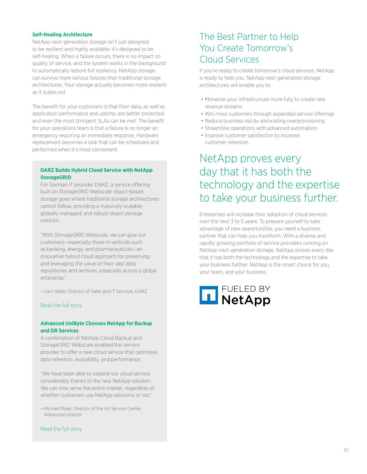#### <span id="page-9-0"></span>**Self-Healing Architecture**

NetApp next-generation storage isn't just designed to be resilient and highly available; it's designed to be self-healing. When a failure occurs, there is no impact on quality of service, and the system works in the background to automatically restore full resiliency. NetApp storage can survive more serious failures than traditional storage architectures. Your storage actually becomes more resilient as it scales out.

The benefit for your customers is that their data, as well as application performance and uptime, are better protected, and even the most stringent SLAs can be met. The benefit for your operations team is that a failure is no longer an emergency requiring an immediate response. Hardware replacement becomes a task that can be scheduled and performed when it's most convenient.

## **DARZ Builds Hybrid Cloud Service with NetApp StorageGRID**

For German IT provider DARZ, a service offering built on StorageGRID Webscale object-based storage goes where traditional storage architectures cannot follow, providing a massively scalable, globally managed, and robust object storage solution.

"With StorageGRID Webscale, we can give our customers—especially those in verticals such as banking, energy, and pharmaceuticals—an innovative hybrid cloud approach for preserving and leveraging the value of their vast data repositories and archives, especially across a global enterprise."

—Lars Göbel, Director of Sales and IT Services, DARZ

# [Read the full story.](http://www.netapp.com/us/company/customer-stories/darz.aspx)

### **Advanced UniByte Chooses NetApp for Backup and DR Services**

A combination of NetApp Cloud Backup and StorageGRID Webscale enabled this service provider to offer a new cloud service that optimizes data retention, availability, and performance.

"We have been able to expand our cloud service considerably thanks to the new NetApp solution. We can now serve the entire market, regardless of whether customers use NetApp solutions or not."

—Michael Maier, Director of the AU Service Center, Advanced Unibyte

#### [Read the full story.](http://www.netapp.com/us/media/cs-advanced-unibyte.pdf)

# The Best Partner to Help You Create Tomorrow's Cloud Services

If you're ready to create tomorrow's cloud services, NetApp is ready to help you. NetApp next-generation storage architectures will enable you to:

- Monetize your infrastructure more fully to create new revenue streams
- Win more customers through expanded service offerings
- Reduce business risk by eliminating overprovisioning
- Streamline operations with advanced automation
- Improve customer satisfaction to increase customer retention

# NetApp proves every day that it has both the technology and the expertise to take your business further.

Enterprises will increase their adoption of cloud services over the next 3 to 5 years. To prepare yourself to take advantage of new opportunities, you need a business partner that can help you transform. With a diverse and rapidly growing portfolio of service providers running on NetApp next-generation storage, NetApp proves every day that it has both the technology and the expertise to take your business further. NetApp is the smart choice for you, your team, and your business.